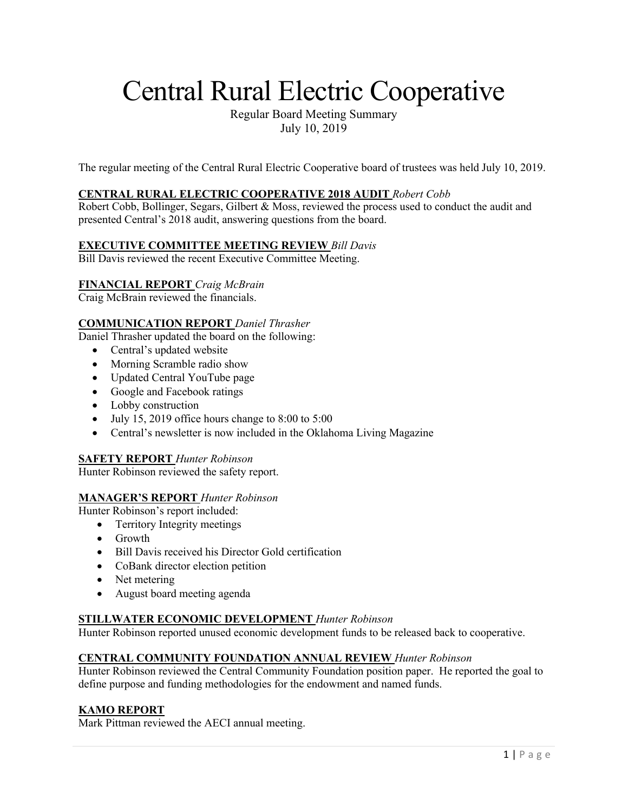# Central Rural Electric Cooperative

Regular Board Meeting Summary July 10, 2019

The regular meeting of the Central Rural Electric Cooperative board of trustees was held July 10, 2019.

# **CENTRAL RURAL ELECTRIC COOPERATIVE 2018 AUDIT** *Robert Cobb*

Robert Cobb, Bollinger, Segars, Gilbert & Moss, reviewed the process used to conduct the audit and presented Central's 2018 audit, answering questions from the board.

#### **EXECUTIVE COMMITTEE MEETING REVIEW** *Bill Davis*

Bill Davis reviewed the recent Executive Committee Meeting.

# **FINANCIAL REPORT** *Craig McBrain*

Craig McBrain reviewed the financials.

# **COMMUNICATION REPORT** *Daniel Thrasher*

Daniel Thrasher updated the board on the following:

- Central's updated website
- Morning Scramble radio show
- Updated Central YouTube page
- Google and Facebook ratings
- Lobby construction
- July 15, 2019 office hours change to  $8:00$  to  $5:00$
- Central's newsletter is now included in the Oklahoma Living Magazine

### **SAFETY REPORT** *Hunter Robinson*

Hunter Robinson reviewed the safety report.

#### **MANAGER'S REPORT** *Hunter Robinson*

Hunter Robinson's report included:

- Territory Integrity meetings
- Growth
- Bill Davis received his Director Gold certification
- CoBank director election petition
- Net metering
- August board meeting agenda

#### **STILLWATER ECONOMIC DEVELOPMENT** *Hunter Robinson*

Hunter Robinson reported unused economic development funds to be released back to cooperative.

#### **CENTRAL COMMUNITY FOUNDATION ANNUAL REVIEW** *Hunter Robinson*

Hunter Robinson reviewed the Central Community Foundation position paper. He reported the goal to define purpose and funding methodologies for the endowment and named funds.

#### **KAMO REPORT**

Mark Pittman reviewed the AECI annual meeting.